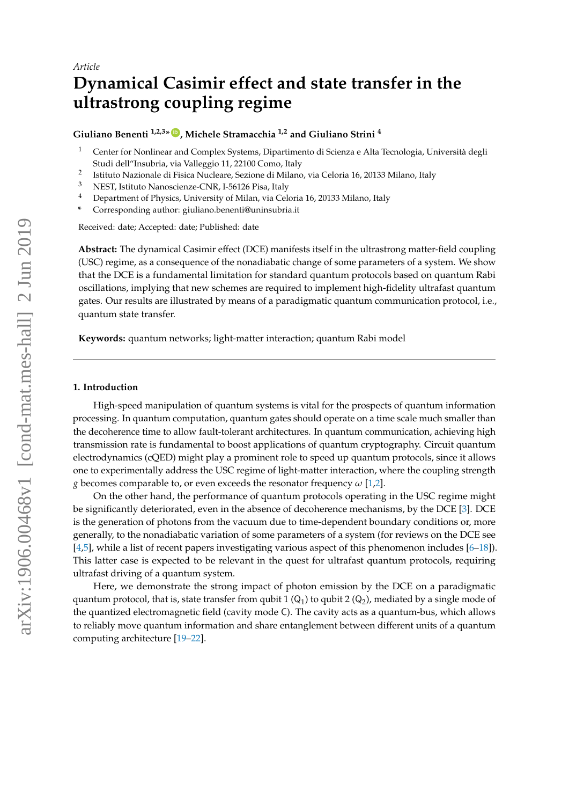# **Dynamical Casimir effect and state transfer in the ultrastrong coupling regime**

## **Giuliano Benenti 1,2,3\* [ID](https://orcid.org/0000-0002-0510-0524) , Michele Stramacchia 1,2 and Giuliano Strini <sup>4</sup>**

- <sup>1</sup> Center for Nonlinear and Complex Systems, Dipartimento di Scienza e Alta Tecnologia, Università degli Studi dell"Insubria, via Valleggio 11, 22100 Como, Italy
- 2 Istituto Nazionale di Fisica Nucleare, Sezione di Milano, via Celoria 16, 20133 Milano, Italy
- <sup>3</sup> NEST, Istituto Nanoscienze-CNR, I-56126 Pisa, Italy
- <sup>4</sup> Department of Physics, University of Milan, via Celoria 16, 20133 Milano, Italy
- **\*** Corresponding author: giuliano.benenti@uninsubria.it

Received: date; Accepted: date; Published: date

**Abstract:** The dynamical Casimir effect (DCE) manifests itself in the ultrastrong matter-field coupling (USC) regime, as a consequence of the nonadiabatic change of some parameters of a system. We show that the DCE is a fundamental limitation for standard quantum protocols based on quantum Rabi oscillations, implying that new schemes are required to implement high-fidelity ultrafast quantum gates. Our results are illustrated by means of a paradigmatic quantum communication protocol, i.e., quantum state transfer.

**Keywords:** quantum networks; light-matter interaction; quantum Rabi model

## **1. Introduction**

High-speed manipulation of quantum systems is vital for the prospects of quantum information processing. In quantum computation, quantum gates should operate on a time scale much smaller than the decoherence time to allow fault-tolerant architectures. In quantum communication, achieving high transmission rate is fundamental to boost applications of quantum cryptography. Circuit quantum electrodynamics (cQED) might play a prominent role to speed up quantum protocols, since it allows one to experimentally address the USC regime of light-matter interaction, where the coupling strength *g* becomes comparable to, or even exceeds the resonator frequency *ω* [\[1](#page-3-0)[,2\]](#page-3-1).

On the other hand, the performance of quantum protocols operating in the USC regime might be significantly deteriorated, even in the absence of decoherence mechanisms, by the DCE [\[3\]](#page-3-2). DCE is the generation of photons from the vacuum due to time-dependent boundary conditions or, more generally, to the nonadiabatic variation of some parameters of a system (for reviews on the DCE see [\[4](#page-3-3)[,5\]](#page-3-4), while a list of recent papers investigating various aspect of this phenomenon includes [\[6](#page-3-5)[–18\]](#page-3-6)). This latter case is expected to be relevant in the quest for ultrafast quantum protocols, requiring ultrafast driving of a quantum system.

Here, we demonstrate the strong impact of photon emission by the DCE on a paradigmatic quantum protocol, that is, state transfer from qubit 1  $(Q_1)$  to qubit 2  $(Q_2)$ , mediated by a single mode of the quantized electromagnetic field (cavity mode C). The cavity acts as a quantum-bus, which allows to reliably move quantum information and share entanglement between different units of a quantum computing architecture [\[19](#page-3-7)[–22\]](#page-3-8).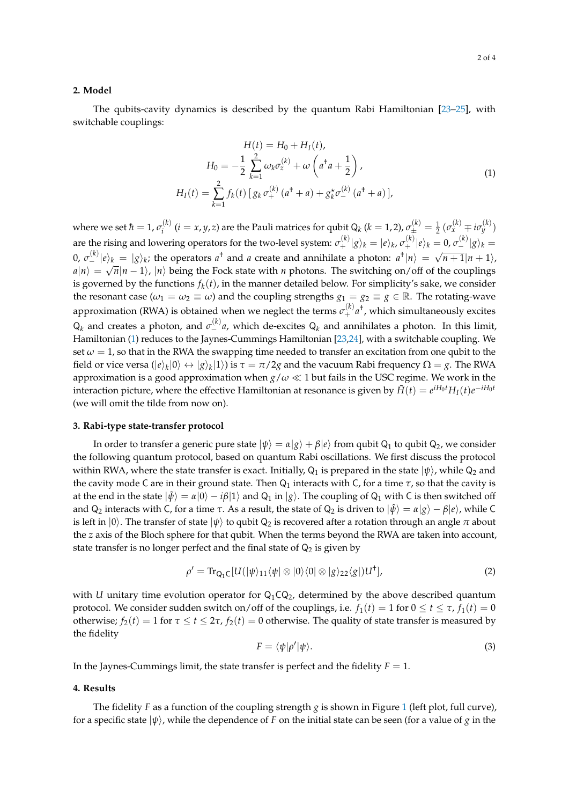## **2. Model**

The qubits-cavity dynamics is described by the quantum Rabi Hamiltonian [\[23–](#page-3-9)[25\]](#page-3-10), with switchable couplings:

<span id="page-1-0"></span>
$$
H(t) = H_0 + H_I(t),
$$
  
\n
$$
H_0 = -\frac{1}{2} \sum_{k=1}^{2} \omega_k \sigma_z^{(k)} + \omega \left( a^{\dagger} a + \frac{1}{2} \right),
$$
  
\n
$$
H_I(t) = \sum_{k=1}^{2} f_k(t) \left[ g_k \sigma_+^{(k)} \left( a^{\dagger} + a \right) + g_k^{\star} \sigma_-^{(k)} \left( a^{\dagger} + a \right) \right],
$$
\n(1)

where we set  $\hbar=1$ ,  $\sigma_i^{(k)}$ *i*<sup>(*k*</sup>)</sup> (*i* = *x*, *y*, *z*) are the Pauli matrices for qubit Q<sub>*k*</sub> (*k* = 1, 2),  $\sigma_{\pm}^{(k)} = \frac{1}{2} (\sigma_x^{(k)} \mp i \sigma_y^{(k)})$ are the rising and lowering operators for the two-level system:  $\sigma^{(k)}_+|g\rangle_k = |e\rangle_k$ ,  $\sigma^{(k)}_+|e\rangle_k = 0$ ,  $\sigma^{(k)}_-|g\rangle_k = 0$  $(0, \sigma^{(k)}_-|e\rangle_k = |g\rangle_k$ ; the operators  $a^{\dagger}$  and  $a$  create and annihilate a photon:  $a^{\dagger} |n\rangle =$ √  $n+1|n+1\rangle$ ,  $a|n\rangle = \sqrt{n}|n-1\rangle$ ,  $|n\rangle$  being the Fock state with *n* photons. The switching on/off of the couplings is governed by the functions  $f_k(t)$ , in the manner detailed below. For simplicity's sake, we consider the resonant case ( $\omega_1 = \omega_2 \equiv \omega$ ) and the coupling strengths  $g_1 = g_2 \equiv g \in \mathbb{R}$ . The rotating-wave approximation (RWA) is obtained when we neglect the terms  $\sigma_+^{(k)} a^\dagger$ , which simultaneously excites  $Q_k$  and creates a photon, and  $\sigma_-^{(k)}$ a, which de-excites  $Q_k$  and annihilates a photon. In this limit, Hamiltonian [\(1\)](#page-1-0) reduces to the Jaynes-Cummings Hamiltonian [\[23](#page-3-9)[,24\]](#page-3-11), with a switchable coupling. We set  $\omega = 1$ , so that in the RWA the swapping time needed to transfer an excitation from one qubit to the field or vice versa ( $|e\rangle_k|0\rangle\leftrightarrow|g\rangle_k|1\rangle)$  is  $\tau=\pi/2g$  and the vacuum Rabi frequency  $\Omega=g.$  The RWA approximation is a good approximation when  $g/\omega \ll 1$  but fails in the USC regime. We work in the interaction picture, where the effective Hamiltonian at resonance is given by  $\tilde{H}(t) = e^{iH_0t}H_I(t)e^{-iH_0t}$ (we will omit the tilde from now on).

#### **3. Rabi-type state-transfer protocol**

In order to transfer a generic pure state  $|\psi\rangle = \alpha|g\rangle + \beta|e\rangle$  from qubit  $Q_1$  to qubit  $Q_2$ , we consider the following quantum protocol, based on quantum Rabi oscillations. We first discuss the protocol within RWA, where the state transfer is exact. Initially,  $Q_1$  is prepared in the state  $|\psi\rangle$ , while  $Q_2$  and the cavity mode C are in their ground state. Then  $Q_1$  interacts with C, for a time  $\tau$ , so that the cavity is at the end in the state  $|\tilde{\psi}\rangle = \alpha|0\rangle - i\beta|1\rangle$  and  $Q_1$  in  $|g\rangle$ . The coupling of  $Q_1$  with C is then switched off and Q<sub>2</sub> interacts with C, for a time  $\tau$ . As a result, the state of Q<sub>2</sub> is driven to  $|\hat{\psi}\rangle = \alpha|g\rangle - \beta|e\rangle$ , while C is left in  $|0\rangle$ . The transfer of state  $|\psi\rangle$  to qubit  $Q_2$  is recovered after a rotation through an angle  $\pi$  about the *z* axis of the Bloch sphere for that qubit. When the terms beyond the RWA are taken into account, state transfer is no longer perfect and the final state of  $Q_2$  is given by

$$
\rho' = \text{Tr}_{Q_1C}[U(|\psi\rangle_{11}\langle\psi|\otimes|0\rangle\langle0|\otimes|g\rangle_{22}\langle g|)U^{\dagger}], \qquad (2)
$$

with *U* unitary time evolution operator for  $Q_1CQ_2$ , determined by the above described quantum protocol. We consider sudden switch on/off of the couplings, i.e.  $f_1(t) = 1$  for  $0 \le t \le \tau$ ,  $f_1(t) = 0$ otherwise;  $f_2(t) = 1$  for  $\tau \le t \le 2\tau$ ,  $f_2(t) = 0$  otherwise. The quality of state transfer is measured by the fidelity

$$
F = \langle \psi | \rho' | \psi \rangle. \tag{3}
$$

In the Jaynes-Cummings limit, the state transfer is perfect and the fidelity  $F = 1$ .

#### **4. Results**

The fidelity *F* as a function of the coupling strength *g* is shown in Figure [1](#page-2-0) (left plot, full curve), for a specific state  $|\psi\rangle$ , while the dependence of *F* on the initial state can be seen (for a value of *g* in the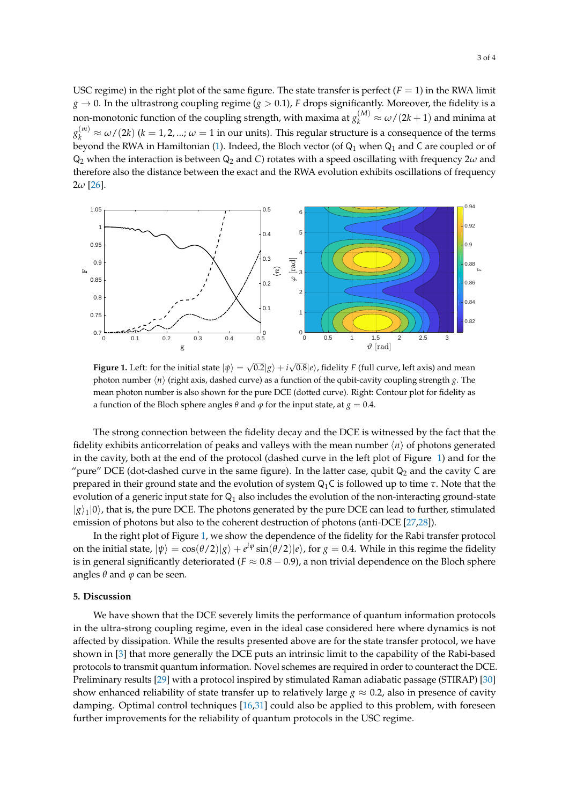USC regime) in the right plot of the same figure. The state transfer is perfect  $(F = 1)$  in the RWA limit  $g \rightarrow 0$ . In the ultrastrong coupling regime ( $g > 0.1$ ), *F* drops significantly. Moreover, the fidelity is a non-monotonic function of the coupling strength, with maxima at  $g_k^{(M)} \approx \omega/(2k+1)$  and minima at  $g_k^{(m)}\approx\omega/(2k)$  ( $k=1,2,...;$   $\omega=1$  in our units). This regular structure is a consequence of the terms beyond the RWA in Hamiltonian [\(1\)](#page-1-0). Indeed, the Bloch vector (of  $Q_1$  when  $Q_1$  and C are coupled or of Q<sup>2</sup> when the interaction is between Q<sup>2</sup> and *C*) rotates with a speed oscillating with frequency 2*ω* and therefore also the distance between the exact and the RWA evolution exhibits oscillations of frequency 2*ω* [\[26\]](#page-3-12).

<span id="page-2-0"></span>

**Figure 1.** Left: for the initial state  $|\psi\rangle = \sqrt{0.2} |g\rangle + i \sqrt{0.8} |e\rangle$ , fidelity *F* (full curve, left axis) and mean photon number  $\langle n \rangle$  (right axis, dashed curve) as a function of the qubit-cavity coupling strength *g*. The mean photon number is also shown for the pure DCE (dotted curve). Right: Contour plot for fidelity as a function of the Bloch sphere angles  $\theta$  and  $\varphi$  for the input state, at  $g = 0.4$ .

The strong connection between the fidelity decay and the DCE is witnessed by the fact that the fidelity exhibits anticorrelation of peaks and valleys with the mean number  $\langle n \rangle$  of photons generated in the cavity, both at the end of the protocol (dashed curve in the left plot of Figure [1\)](#page-2-0) and for the "pure" DCE (dot-dashed curve in the same figure). In the latter case, qubit  $Q_2$  and the cavity C are prepared in their ground state and the evolution of system Q1C is followed up to time *τ*. Note that the evolution of a generic input state for  $Q_1$  also includes the evolution of the non-interacting ground-state  $|g\rangle_1|0\rangle$ , that is, the pure DCE. The photons generated by the pure DCE can lead to further, stimulated emission of photons but also to the coherent destruction of photons (anti-DCE [\[27](#page-3-13)[,28\]](#page-3-14)).

In the right plot of Figure [1,](#page-2-0) we show the dependence of the fidelity for the Rabi transfer protocol on the initial state,  $|\psi\rangle = \cos(\theta/2)|g\rangle + e^{i\phi}\sin(\theta/2)|e\rangle$ , for  $g = 0.4$ . While in this regime the fidelity is in general significantly deteriorated ( $F \approx 0.8 - 0.9$ ), a non trivial dependence on the Bloch sphere angles  $\theta$  and  $\varphi$  can be seen.

#### **5. Discussion**

We have shown that the DCE severely limits the performance of quantum information protocols in the ultra-strong coupling regime, even in the ideal case considered here where dynamics is not affected by dissipation. While the results presented above are for the state transfer protocol, we have shown in [\[3\]](#page-3-2) that more generally the DCE puts an intrinsic limit to the capability of the Rabi-based protocols to transmit quantum information. Novel schemes are required in order to counteract the DCE. Preliminary results [\[29\]](#page-3-15) with a protocol inspired by stimulated Raman adiabatic passage (STIRAP) [\[30\]](#page-3-16) show enhanced reliability of state transfer up to relatively large  $g \approx 0.2$ , also in presence of cavity damping. Optimal control techniques [\[16,](#page-3-17)[31\]](#page-3-18) could also be applied to this problem, with foreseen further improvements for the reliability of quantum protocols in the USC regime.